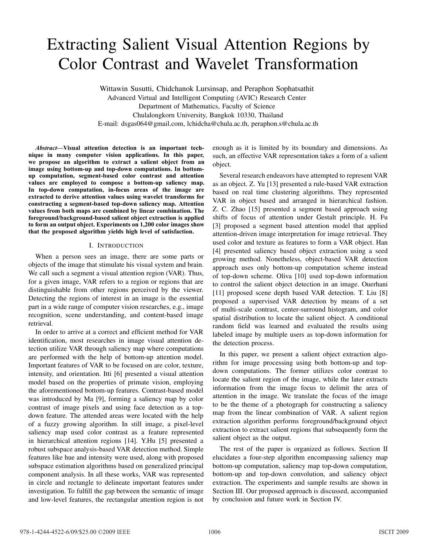# Extracting Salient Visual Attention Regions by Color Contrast and Wavelet Transformation

Wittawin Susutti, Chidchanok Lursinsap, and Peraphon Sophatsathit Advanced Virtual and Intelligent Computing (AVIC) Research Center Department of Mathematics, Faculty of Science Chulalongkorn University, Bangkok 10330, Thailand E-mail: dsgas064@gmail.com, lchidcha@chula.ac.th, peraphon.s@chula.ac.th

*Abstract***—Visual attention detection is an important technique in many computer vision applications. In this paper, we propose an algorithm to extract a salient object from an image using bottom-up and top-down computations. In bottomup computation, segment-based color contrast and attention values are employed to compose a bottom-up saliency map. In top-down computation, in-focus areas of the image are extracted to derive attention values using wavelet transforms for constructing a segment-based top-down saliency map. Attention values from both maps are combined by linear combination. The foreground/background-based salient object extraction is applied to form an output object. Experiments on 1,200 color images show that the proposed algorithm yields high level of satisfaction.**

#### I. INTRODUCTION

When a person sees an image, there are some parts or objects of the image that stimulate his visual system and brain. We call such a segment a visual attention region (VAR). Thus, for a given image, VAR refers to a region or regions that are distinguishable from other regions perceived by the viewer. Detecting the regions of interest in an image is the essential part in a wide range of computer vision researches, e.g., image recognition, scene understanding, and content-based image retrieval.

In order to arrive at a correct and efficient method for VAR identification, most researches in image visual attention detection utilize VAR through saliency map where computations are performed with the help of bottom-up attention model. Important features of VAR to be focused on are color, texture, intensity, and orientation. Itti [6] presented a visual attention model based on the properties of primate vision, employing the aforementioned bottom-up features. Contrast-based model was introduced by Ma [9], forming a saliency map by color contrast of image pixels and using face detection as a topdown feature. The attended areas were located with the help of a fuzzy growing algorithm. In still image, a pixel-level saliency map used color contrast as a feature represented in hierarchical attention regions [14]. Y.Hu [5] presented a robust subspace analysis-based VAR detection method. Simple features like hue and intensity were used, along with proposed subspace estimation algorithms based on generalized principal component analysis. In all these works, VAR was represented in circle and rectangle to delineate important features under investigation. To fulfill the gap between the semantic of image and low-level features, the rectangular attention region is not enough as it is limited by its boundary and dimensions. As such, an effective VAR representation takes a form of a salient object.

Several research endeavors have attempted to represent VAR as an object. Z. Yu [13] presented a rule-based VAR extraction based on real time clustering algorithms. They represented VAR in object based and arranged in hierarchical fashion. Z. C. Zhao [15] presented a segment based approach using shifts of focus of attention under Gestalt principle. H. Fu [3] proposed a segment based attention model that applied attention-driven image interpretation for image retrieval. They used color and texture as features to form a VAR object. Han [4] presented saliency based object extraction using a seed growing method. Nonetheless, object-based VAR detection approach uses only bottom-up computation scheme instead of top-down scheme. Oliva [10] used top-down information to control the salient object detection in an image. Ouerhani [11] proposed scene depth based VAR detection. T. Liu [8] proposed a supervised VAR detection by means of a set of multi-scale contrast, center-surround histogram, and color spatial distribution to locate the salient object. A conditional random field was learned and evaluated the results using labeled image by multiple users as top-down information for the detection process.

In this paper, we present a salient object extraction algorithm for image processing using both bottom-up and topdown computations. The former utilizes color contrast to locate the salient region of the image, while the later extracts information from the image focus to delimit the area of attention in the image. We translate the focus of the image to be the theme of a photograph for constructing a saliency map from the linear combination of VAR. A salient region extraction algorithm performs foreground/background object extraction to extract salient regions that subsequently form the salient object as the output.

The rest of the paper is organized as follows. Section II elucidates a four-step algorithm encompassing saliency map bottom-up computation, saliency map top-down computation, bottom-up and top-down convolution, and saliency object extraction. The experiments and sample results are shown in Section III. Our proposed approach is discussed, accompanied by conclusion and future work in Section IV.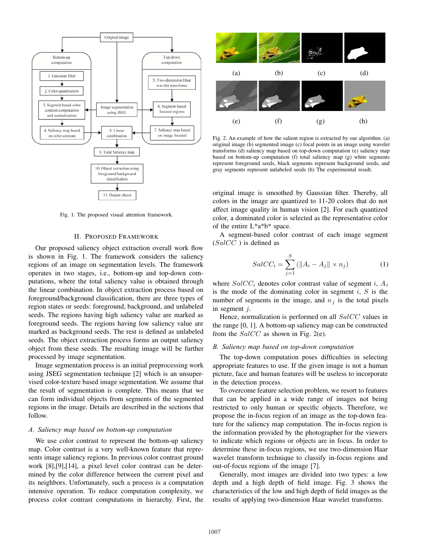

Fig. 1. The proposed visual attention framework.

#### II. PROPOSED FRAMEWORK

Our proposed saliency object extraction overall work flow is shown in Fig. 1. The framework considers the saliency regions of an image on segmentation levels. The framework operates in two stages, i.e., bottom-up and top-down computations, where the total saliency value is obtained through the linear combination. In object extraction process based on foreground/background classification, there are three types of region states or seeds: foreground, background, and unlabeled seeds. The regions having high saliency value are marked as foreground seeds. The regions having low saliency value are marked as background seeds. The rest is defined as unlabeled seeds. The object extraction process forms an output saliency object from these seeds. The resulting image will be further processed by image segmentation.

Image segmentation process is an initial preprocessing work using JSEG segmentation technique [2] which is an unsupervised color-texture based image segmentation. We assume that the result of segmentation is complete. This means that we can form individual objects from segments of the segmented regions in the image. Details are described in the sections that follow.

#### *A. Saliency map based on bottom-up computation*

We use color contrast to represent the bottom-up saliency map. Color contrast is a very well-known feature that represents image saliency regions. In previous color contrast ground work [8],[9],[14], a pixel level color contrast can be determined by the color difference between the current pixel and its neighbors. Unfortunately, such a process is a computation intensive operation. To reduce computation complexity, we process color contrast computations in hierarchy. First, the



Fig. 2. An example of how the salient region is extracted by our algorithm. (a) original image (b) segmented image (c) focal points in an image using wavelet transforms (d) saliency map based on top-down computation (e) saliency map based on bottom-up computation (f) total saliency map (g) white segments represent foreground seeds, black segments represent background seeds, and gray segments represent unlabeled seeds (h) The experimental result.

original image is smoothed by Gaussian filter. Thereby, all colors in the image are quantized to 11-20 colors that do not affect image quality in human vision [2]. For each quantized color, a dominated color is selected as the representative color of the entire L\*a\*b\* space.

A segment-based color contrast of each image segment (*SalCC* ) is defined as

$$
SalCC_i = \sum_{j=1}^{S} (||A_i - A_j|| \times n_j)
$$
 (1)

where *SalCC<sup>i</sup>* denotes color contrast value of segment *i*, *A<sup>i</sup>* is the mode of the dominating color in segment *i*, *S* is the number of segments in the image, and  $n_j$  is the total pixels in segment *j*.

Hence, normalization is performed on all *SalCC* values in the range [0, 1]. A bottom-up saliency map can be constructed from the *SalCC* as shown in Fig. 2(e).

## *B. Saliency map based on top-down computation*

The top-down computation poses difficulties in selecting appropriate features to use. If the given image is not a human picture, face and human features will be useless to incorporate in the detection process.

To overcome feature selection problem, we resort to features that can be applied in a wide range of images not being restricted to only human or specific objects. Therefore, we propose the in-focus region of an image as the top-down feature for the saliency map computation. The in-focus region is the information provided by the photographer for the viewers to indicate which regions or objects are in focus. In order to determine these in-focus regions, we use two-dimension Haar wavelet transform technique to classify in-focus regions and out-of-focus regions of the image [7].

Generally, most images are divided into two types: a low depth and a high depth of field image. Fig. 3 shows the characteristics of the low and high depth of field images as the results of applying two-dimension Haar wavelet transforms.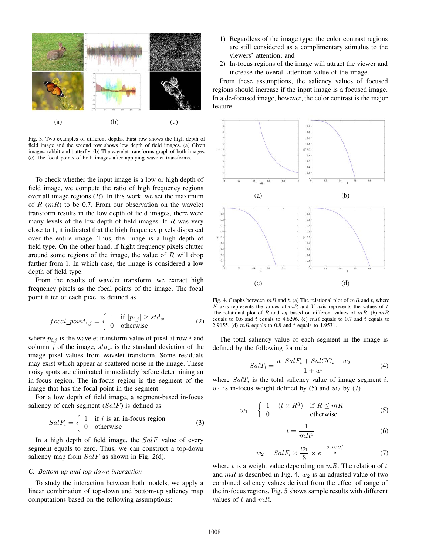

Fig. 3. Two examples of different depths. First row shows the high depth of field image and the second row shows low depth of field images. (a) Given images, rabbit and butterfly. (b) The wavelet transforms graph of both images. (c) The focal points of both images after applying wavelet transforms.

To check whether the input image is a low or high depth of field image, we compute the ratio of high frequency regions over all image regions  $(R)$ . In this work, we set the maximum of *R* (*mR*) to be 0.7. From our observation on the wavelet transform results in the low depth of field images, there were many levels of the low depth of field images. If *R* was very close to 1, it indicated that the high frequency pixels dispersed over the entire image. Thus, the image is a high depth of field type. On the other hand, if hight frequency pixels clutter around some regions of the image, the value of *R* will drop farther from 1. In which case, the image is considered a low depth of field type.

From the results of wavelet transform, we extract high frequency pixels as the focal points of the image. The focal point filter of each pixel is defined as

$$
focal\_point_{i,j} = \begin{cases} 1 & \text{if } |p_{i,j}| \ge std_w \\ 0 & \text{otherwise} \end{cases}
$$
 (2)

where  $p_{i,j}$  is the wavelet transform value of pixel at row *i* and column  $j$  of the image,  $std_w$  is the standard deviation of the image pixel values from wavelet transform. Some residuals may exist which appear as scattered noise in the image. These noisy spots are eliminated immediately before determining an in-focus region. The in-focus region is the segment of the image that has the focal point in the segment.

For a low depth of field image, a segment-based in-focus saliency of each segment (*SalF*) is defined as

$$
SalF_i = \begin{cases} 1 & \text{if } i \text{ is an in-focus region} \\ 0 & \text{otherwise} \end{cases}
$$
 (3)

In a high depth of field image, the *SalF* value of every segment equals to zero. Thus, we can construct a top-down saliency map from *SalF* as shown in Fig. 2(d).

#### *C. Bottom-up and top-down interaction*

To study the interaction between both models, we apply a linear combination of top-down and bottom-up saliency map computations based on the following assumptions:

- 1) Regardless of the image type, the color contrast regions are still considered as a complimentary stimulus to the viewers' attention; and
- 2) In-focus regions of the image will attract the viewer and increase the overall attention value of the image.

From these assumptions, the saliency values of focused regions should increase if the input image is a focused image. In a de-focused image, however, the color contrast is the major feature.



Fig. 4. Graphs between  $mR$  and  $t$ . (a) The relational plot of  $mR$  and  $t$ , where *X*-axis represents the values of *mR* and *Y* -axis represents the values of *t*. The relational plot of  $R$  and  $w_1$  based on different values of  $mR$ . (b)  $mR$ equals to 0.6 and  $t$  equals to 4.6296. (c)  $mR$  equals to 0.7 and  $t$  equals to 2.9155. (d) *mR* equals to 0.8 and *t* equals to 1.9531.

The total saliency value of each segment in the image is defined by the following formula

$$
SalT_i = \frac{w_1 SalF_i + SalCC_i - w_2}{1 + w_1} \tag{4}
$$

where  $SalT_i$  is the total saliency value of image segment *i*.  $w_1$  is in-focus weight defined by (5) and  $w_2$  by (7)

$$
w_1 = \begin{cases} 1 - (t \times R^3) & \text{if } R \le mR \\ 0 & \text{otherwise} \end{cases}
$$
 (5)

$$
t = \frac{1}{mR^3} \tag{6}
$$

$$
w_2 = SalF_i \times \frac{w_1}{3} \times e^{-\frac{SalCC_i^2}{2}}
$$
 (7)

where *t* is a weight value depending on *mR*. The relation of *t* and  $mR$  is described in Fig. 4.  $w_2$  is an adjusted value of two combined saliency values derived from the effect of range of the in-focus regions. Fig. 5 shows sample results with different values of *t* and *mR*.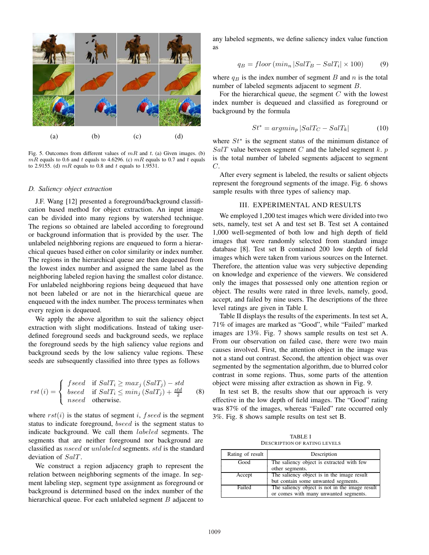

Fig. 5. Outcomes from different values of *mR* and *t*. (a) Given images. (b)  $mR$  equals to 0.6 and *t* equals to 4.6296. (c)  $mR$  equals to 0.7 and *t* equals to 2.9155. (d) *mR* equals to 0.8 and *t* equals to 1.9531.

#### *D. Saliency object extraction*

J.F. Wang [12] presented a foreground/background classification based method for object extraction. An input image can be divided into many regions by watershed technique. The regions so obtained are labeled according to foreground or background information that is provided by the user. The unlabeled neighboring regions are enqueued to form a hierarchical queues based either on color similarity or index number. The regions in the hierarchical queue are then dequeued from the lowest index number and assigned the same label as the neighboring labeled region having the smallest color distance. For unlabeled neighboring regions being dequeued that have not been labeled or are not in the hierarchical queue are enqueued with the index number. The process terminates when every region is dequeued.

We apply the above algorithm to suit the saliency object extraction with slight modifications. Instead of taking userdefined foreground seeds and background seeds, we replace the foreground seeds by the high saliency value regions and background seeds by the low saliency value regions. These seeds are subsequently classified into three types as follows

$$
rst(i) = \begin{cases} \n\text{fseed} & \text{if } \text{SalT}_i \ge \max_j \left( \text{SalT}_j \right) - std \\ \n\text{bseed} & \text{if } \text{SalT}_i \le \min_j \left( \text{SalT}_j \right) + \frac{std}{2} \\ \n\text{nseed} & \text{otherwise.} \n\end{cases} \tag{8}
$$

where  $rst(i)$  is the status of segment *i*, *f* seed is the segment status to indicate foreground, *bseed* is the segment status to indicate background. We call them *labeled* segments. The segments that are neither foreground nor background are classified as *nseed* or *unlabeled* segments. *std* is the standard deviation of *SalT* .

We construct a region adjacency graph to represent the relation between neighboring segments of the image. In segment labeling step, segment type assignment as foreground or background is determined based on the index number of the hierarchical queue. For each unlabeled segment *B* adjacent to any labeled segments, we define saliency index value function as

$$
q_B = floor\left(\min_n |SalT_B - SalT_i| \times 100\right) \tag{9}
$$

where  $q_B$  is the index number of segment *B* and *n* is the total number of labeled segments adjacent to segment *B*.

For the hierarchical queue, the segment *C* with the lowest index number is dequeued and classified as foreground or background by the formula

$$
St^* = argmin_p |SalT_C - SalT_k|
$$
 (10)

where *St*<sup>∗</sup> is the segment status of the minimum distance of *SalT* value between segment *C* and the labeled segment *k*. *p* is the total number of labeled segments adjacent to segment *C*.

After every segment is labeled, the results or salient objects represent the foreground segments of the image. Fig. 6 shows sample results with three types of saliency map.

### III. EXPERIMENTAL AND RESULTS

We employed 1,200 test images which were divided into two sets, namely, test set A and test set B. Test set A contained 1,000 well-segmented of both low and high depth of field images that were randomly selected from standard image database [8]. Test set B contained 200 low depth of field images which were taken from various sources on the Internet. Therefore, the attention value was very subjective depending on knowledge and experience of the viewers. We considered only the images that possessed only one attention region or object. The results were rated in three levels, namely, good, accept, and failed by nine users. The descriptions of the three level ratings are given in Table I.

Table II displays the results of the experiments. In test set A, 71% of images are marked as "Good", while "Failed" marked images are 13%. Fig. 7 shows sample results on test set A. From our observation on failed case, there were two main causes involved. First, the attention object in the image was not a stand out contrast. Second, the attention object was over segmented by the segmentation algorithm, due to blurred color contrast in some regions. Thus, some parts of the attention object were missing after extraction as shown in Fig. 9.

In test set B, the results show that our approach is very effective in the low depth of field images. The "Good" rating was 87% of the images, whereas "Failed" rate occurred only 3%. Fig. 8 shows sample results on test set B.

TABLE I DESCRIPTION OF RATING LEVELS

| Rating of result | Description                                                  |  |  |
|------------------|--------------------------------------------------------------|--|--|
| Good             | The saliency object is extracted with few<br>other segments. |  |  |
|                  |                                                              |  |  |
| Accept           | The saliency object is in the image result                   |  |  |
|                  | but contain some unwanted segments.                          |  |  |
| Failed           | The saliency object is not in the image result               |  |  |
|                  | or comes with many unwanted segments.                        |  |  |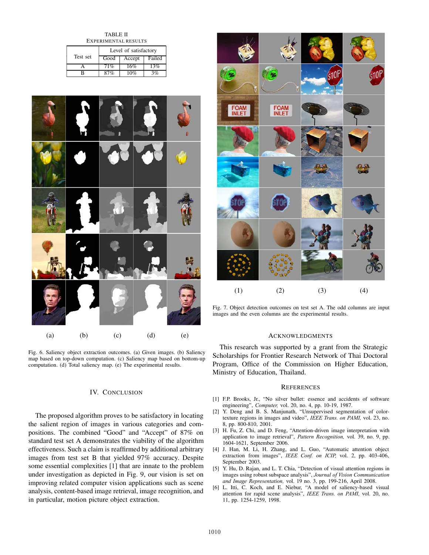TABLE II EXPERIMENTAL RESULTS

|          | Level of satisfactory |        |        |
|----------|-----------------------|--------|--------|
| Test set | Good                  | Accept | Failed |
|          | 71%                   | 16%    | 13%    |
|          |                       |        |        |



Fig. 6. Saliency object extraction outcomes. (a) Given images. (b) Saliency map based on top-down computation. (c) Saliency map based on bottom-up computation. (d) Total saliency map. (e) The experimental results.

# IV. CONCLUSION

The proposed algorithm proves to be satisfactory in locating the salient region of images in various categories and compositions. The combined "Good" and "Accept" of 87% on standard test set A demonstrates the viability of the algorithm effectiveness. Such a claim is reaffirmed by additional arbitrary images from test set B that yielded 97% accuracy. Despite some essential complexities [1] that are innate to the problem under investigation as depicted in Fig. 9, our vision is set on improving related computer vision applications such as scene analysis, content-based image retrieval, image recognition, and in particular, motion picture object extraction.



Fig. 7. Object detection outcomes on test set A. The odd columns are input images and the even columns are the experimental results.

### ACKNOWLEDGMENTS

This research was supported by a grant from the Strategic Scholarships for Frontier Research Network of Thai Doctoral Program, Office of the Commission on Higher Education, Ministry of Education, Thailand.

#### **REFERENCES**

- [1] F.P. Brooks, Jr., "No silver bullet: essence and accidents of software engineering", *Computer,* vol. 20, no. 4, pp. 10-19, 1987.
- [2] Y. Deng and B. S. Manjunath, "Unsupervised segmentation of colortexture regions in images and video", *IEEE Trans. on PAMI,* vol. 23, no. 8, pp. 800-810, 2001.
- [3] H. Fu, Z. Chi, and D. Feng, "Attention-driven image interpretation with application to image retrieval", *Pattern Recognition,* vol. 39, no. 9, pp. 1604-1621, September 2006.
- [4] J. Han, M. Li, H. Zhang, and L. Guo, "Automatic attention object extraction from images", *IEEE Conf. on ICIP,* vol. 2, pp. 403-406, September 2003.
- [5] Y. Hu, D. Rajan, and L. T. Chia, "Detection of visual attention regions in images using robust subspace analysis", *Journal of Vision Communication and Image Representation,* vol. 19 no. 3, pp. 199-216, April 2008.
- [6] L. Itti, C. Koch, and E. Niebur, "A model of saliency-based visual attention for rapid scene analysis", *IEEE Trans. on PAMI,* vol. 20, no. 11, pp. 1254-1259, 1998.